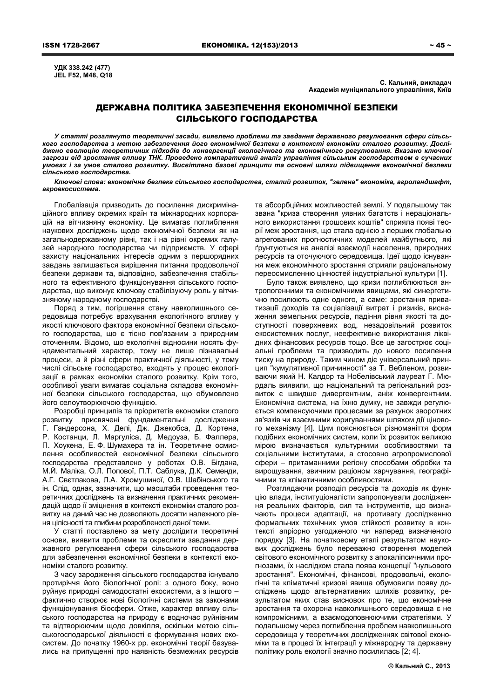**ɍȾɄ 338.242 (477) JEL F52, M48, Q18** 

> $C$ . Кальний. викладач Академія муніципального управління, Київ

## ДЕРЖАВНА ПОЛІТИКА ЗАБЕЗПЕЧЕННЯ ЕКОНОМІЧНОЇ БЕЗПЕКИ СІЛЬСЬКОГО ГОСПОДАРСТВА

У статті розглянуто теоретичні засади, виявлено проблеми та завдання державного регулювання сфери сільського господарства з метою забезпечення його економічної безпеки в контексті економіки сталого розвитку. Досліджено еволюцію теоретичних підходів до конвергенції екологічного та економічного регулювання. Вказано ключові загрози від зростання впливу ТНК. Проведено компаративний аналіз управління сільським господарством в сучасних умовах *і за умов сталого розвитку. Висвітлено базові принципи та основні шляхи підвищення економічної безпеки*  $c$ *iльського господарства.* 

Ключові слова: економічна безпека сільського господарства, сталий розвиток, "зелена" економіка, агроландшафт,  $a$ *гроекосистема.* 

Глобалізація призводить до посилення дискримінаційного впливу окремих країн та міжнародних корпорацій на вітчизняну економіку. Це вимагає поглиблення наукових досліджень щодо економічної безпеки як на загальнодержавному рівні, так і на рівні окремих галузей народного господарства чи підприємств. У сфері захисту національних інтересів одним з першорядних завдань залишається вирішення питання продовольчої безпеки держави та, відповідно, забезпечення стабільного та ефективного функціонування сільського господарства, що виконує ключову стабілізуючу роль у вітчизняному народному господарстві.

Поряд з тим, погіршення стану навколишнього середовища потребує врахування екологічного впливу у якості ключового фактора економічної безпеки сільського господарства. що є тісно пов'язаним з природним оточенням. Відомо, що екологічні відносини носять фундаментальний характер, тому не лише пізнавальні процеси, а й різні сфери практичної діяльності, у тому числі сільське господарство, входять у процес екологізації в рамках економіки сталого розвитку. Крім того, особливої уваги вимагає соціальна складова економічної безпеки сільського господарства, що обумовлено його селоутворюючою функцією.

Розробці принципів та пріоритетів економіки сталого розвитку присвячені фундаментальні дослідження Г. Гандерсона, Х. Делі, Дж. Джекобса, Д. Кортена, Р. Костанци, Л. Маргуліса, Д. Медоуза, Б. Фаллера, П. Хоукена, Е. Ф. Шумахера та ін. Теоретичне осмислення особливостей економічної безпеки сільського господарства представлено у роботах О.В. Бігдана, М.Й. Маліка, О.Л. Попової, П.Т. Саблука, Д.К. Семенди, А.Г. Светлакова, Л.А. Хромушиної, О.В. Шабінського та ін. Слід, однак, зазначити, що масштаби проведення теоретичних досліджень та визначення практичних рекомендацій шодо її зміцнення в контексті економіки сталого розвитку на даний час не дозволяють досягти належного рівня цілісності та глибини розробленості даної теми.

У статті поставлено за мету дослідити теоретичні основи, виявити проблеми та окреслити завдання державного регулювання сфери сільського господарства для забезпечення економічної безпеки в контексті економіки сталого розвитку.

З часу зародження сільського господарства існувало протиріччя його біологічної ролі: з одного боку, воно руйнує природні самодостатні екосистеми, а з іншого фактично створює нові біологічні системи за законами функціонування біосфери. Отже, характер впливу сільського господарства на природу є водночас руйнівним та відтворюючим щодо довкілля, оскільки метою сільськогосподарської діяльності є формування нових екосистем. До початку 1960-х рр. економічні теорії базувались на припущенні про наявність безмежних ресурсів

та абсорбційних можливостей землі. У подальшому так звана "криза створення уявних багатств і нераціонального використання грошових коштів" сприяла появі теорії меж зростання, що стала однією з перших глобально агрегованих прогностичних моделей майбутнього, які ґрунтуються на аналізі взаємодії населення, природних ресурсів та оточуючого середовища. Ідеї щодо існування меж економічного зростання сприяли раціональному переосмисленню цінностей індустріальної культури [1].

Було також виявлено, що кризи поглиблюються антропогенними та економічними явищами, які синергетично посилюють одне одного, а саме: зростання приватизації доходів та соціалізації витрат і ризиків, виснаження земельних ресурсів, падіння рівня якості та доступності поверхневих вод, незадовільний розвиток екосистемних послуг, неефективне використання ліквідних фінансових ресурсів тощо. Все це загострює соціальні проблеми та призводить до нового посилення тиску на природу. Таким чином діє універсальний принцип "кумулятивної причинності" за Т. Вебленом, розвиваючи який Н. Калдор та Нобелівський лауреат Г. Мюрдаль виявили, що національний та регіональний розвиток є швидше дивергентним, аніж конвергентним. Економічна система, на їхню думку, не завжди регулюється компенсуючими процесами за рахунок зворотних зв'язків чи взаємними коригуваннями шляхом дії цінового механізму [4]. Цим пояснюється різноманіття форм подібних економічних систем, коли їх розвиток великою мірою визначається культурними особливостями та соціальними інститутами, а стосовно агропромислової сфери – притаманними регіону способами обробки та вирошування, звичним раціоном харчування, географічними та кліматичними особливостями.

Розглядаючи розподіл ресурсів та доходів як функцію влади, інституціоналісти запропонували дослідження реальних факторів, сил та інструментів, що визначають процеси адаптації, на противагу дослідженню формальних технічних умов стійкості розвитку в контексті апріорно узгодженого чи наперед визначеного порядку [3]. На початковому етапі результатом наукових досліджень було переважно створення моделей світового економічного розвитку з апокаліпсичними прогнозами, їх наслідком стала поява концепції "нульового зростання". Економічні, фінансові, продовольчі, екологічні та кліматичні кризові явища обумовили появу досліджень щодо альтернативних шляхів розвитку, результатом яких став висновок про те, що економічне зростання та охорона навколишнього середовища є не компромісними, а взаємодоповнюючими стратегіями. У подальшому через поглиблення проблем навколишнього середовища у теоретичних дослідженнях світової економіки та в процесі їх інтеграції у міжнародну та державну політику роль екології значно посилилась [2; 4].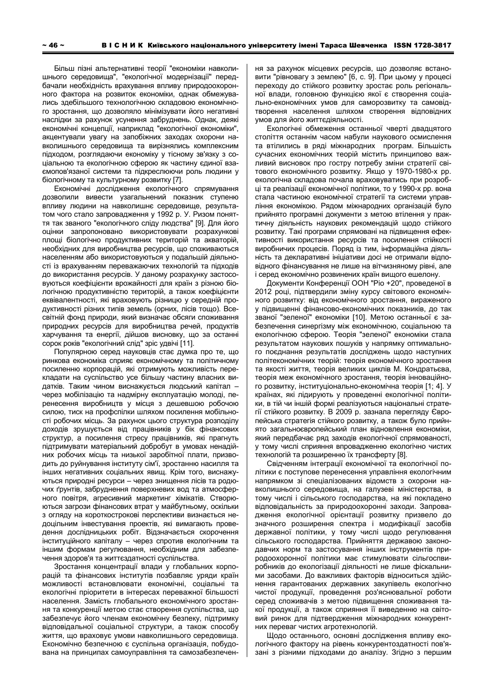Більш пізні альтернативні теорії "економіки навколишнього середовища", "екологічної модернізації" передбачали необхідність врахування впливу природоохоронного фактора на розвиток економіки, однак обмежувались здебільшого технологічною складовою економічного зростання, що дозволяло мінімізувати його негативні наслідки за рахунок усунення забруднень. Однак, деякі економічні концепції, наприклад "екологічної економіки", акцентували увагу на запобіжних заходах охорони навколишнього середовища та вирізнялись комплексним підходом, розглядаючи економіку у тісному зв'язку з соціальною та екологічною сферою як частину єдиної взаємопов'язаної системи та підкреслюючи роль людини у біологічному та культурному розвитку [7].

Економічні дослідження екологічного спрямування дозволили вивести узагальнений показник ступеню впливу людини на навколишнє середовище, результатом чого стало запровадження у 1992 р. У. Ризом поняття так званого "екологічного сліду людства" [9]. Для його оцінки запропоновано використовувати розрахункові площі біологічно продуктивних територій та акваторій, необхідних для виробництва ресурсів, що споживаються населенням або використовуються у подальшій діяльності із врахуванням переважаючих технологій та підходів до використання ресурсів. У даному розрахунку застосовуються коефіцієнти врожайності для країн з різною біологічною продуктивністю територій, а також коефіцієнти еквівалентності, які враховують різницю у середній продуктивності різних типів земель (орних, лісів тощо). Всесвітній фонд природи, який визначає обсяги споживання природних ресурсів для виробництва речей, продуктів харчування та енергії, дійшов висновку, що за останні сорок років "екологічний слід" зріс удвічі [11].

Популярною серед науковців стає думка про те, що ринкова економіка сприяє економічному та політичному посиленню корпорацій, які отримують можливість перекладати на суспільство усе більшу частину власних видатків. Таким чином виснажується людський капітал – через мобілізацію та надмірну експлуатацію молоді, перенесення виробництв у місця з дешевшою робочою силою, тиск на профспілки шляхом посилення мобільності робочих місць. За рахунок цього структура розподілу доходів зрушується від працівників у бік фінансових структур, а посилення стресу працівників, які прагнуть підтримувати матеріальний добробут в умовах ненадійних робочих місць та низької заробітної плати, призводить до руйнування інституту сім'ї, зростанню насилля та інших негативних соціальних явищ. Крім того, виснажуються природні ресурси – через знищення лісів та родючих ґрунтів, забруднення поверхневих вод та атмосферного повітря, агресивний маркетинг хімікатів. Створюються загрози фінансових втрат у майбутньому, оскільки а огляду на короткострокові перспективи визнається недоцільним інвестування проектів, які вимагають проведення дослідницьких робіт. Відзначається скорочення інституційного капіталу – через спротив екологічним та іншим формам регулювання, необхідним для забезпечення здоров'я та життєздатності суспільства.

Зростання концентрації влади у глобальних корпорацій та фінансових інститутів позбавляє уряди країн можливості встановлювати економічні, соціальні та екологічні пріоритети в інтересах переважної більшості населення. Замість глобального економічного зростання та конкуренції метою стає створення суспільства, що забезпечує його членам економічну безпеку, підтримку відповідальної соціальної структури, а також способу життя, що враховує умови навколишнього середовища. Економічно безпечною є суспільна організація, побудована на принципах самоуправління та самозабезпечення за рахунок місцевих ресурсів, що дозволяє встановити "рівновагу з землею" [6, с. 9]. При цьому у процесі переходу до стійкого розвитку зростає роль регіональної влади, головною функцією якої є створення соціально-економічних умов для саморозвитку та самовідтворення населення шляхом створення відповідних умов для його життєдіяльності.

Екологічні обмеження останньої чверті двадцятого століття останнім часом набули наукового осмислення та втілились в ряді міжнародних програм. Більшість сучасних економічних теорій містить принципово важливий висновок про гостру потребу зміни стратегії світового економічного розвитку. Якщо у 1970-1980-х рр. екологічна складова почала враховуватись при розробці та реалізації економічної політики, то у 1990-х рр. вона стала частиною економічної стратегії та системи управління економікою. Рядом міжнародних організацій було прийнято програмні документи з метою втілення у практичну діяльність наукових рекомендацій щодо стійкого розвитку. Такі програми спрямовані на підвищення ефективності використання ресурсів та посилення стійкості виробничих процесів. Поряд із тим, інформаційна діяльність та декларативні ініціативи досі не отримали відповідного фінансування не лише на вітчизняному рівні, але i серед економічно розвинених країн вищого ешелону.

Документи Конференції ООН "Ріо +20", проведеної в 2012 році, підтвердили зміну курсу світового економічного розвитку: від економічного зростання, вираженого у підвищенні фінансово-економічних показників, до так званої "зеленої" економіки [10]. Метою останньої є забезпечення синергізму між економічною, соціальною та екологічною сферою. Теорія "зеленої" економіки стала результатом наукових пошуків у напрямку оптимального поєднання результатів досліджень щодо наступних політекономічних теорій: теорія економічного зростання та якості життя, теорія великих циклів М. Кондратьєва, теорія меж економічного зростання, теорія інноваційного розвитку, інституціонально-економічна теорія [1; 4]. У країнах, які лідирують у проведенні екологічної політики, в тій чи іншій формі реалізуються національні стратегії стійкого розвитку. В 2009 р. зазнала перегляду Європейська стратегія стійкого розвитку, а також було прийнято загальноєвропейський план відновлення економіки, який передбачає ряд заходів екологічної спрямованості, у тому числі сприяння впровадженню екологічно чистих экиологій та розширенню їх трансферту [8].

Свідченням інтеграції економічної та екологічної політики є поступове перенесення управління екологічним напрямком зі спеціалізованих відомств з охорони навколишнього середовища, на галузеві міністерства, в тому числі і сільського господарства, на які покладено відповідальність за природоохоронні заходи. Запровадження екологічної орієнтації розвитку призвело до значного розширення спектра і модифікації засобів державної політики, у тому числі щодо регулювання сільського господарства. Прийняття державою законодавчих норм та застосування інших інструментів природоохоронної політики має стимулювати сільгоспвиробників до екологізації діяльності не лише фіскальними засобами. До важливих факторів відноситься здійснення гарантованих державних закупівель екологічно чистої продукції, проведення роз'яснювальної роботи серед споживачів з метою підвищення споживання такої продукції, а також сприяння її виведенню на світовий ринок для підтвердження міжнародних конкурентних переваг чистих агротехнологій.

Щодо останнього, основні дослідження впливу екологічного фактору на рівень конкурентоздатності пов'язані з різними підходами до аналізу. Згідно з першим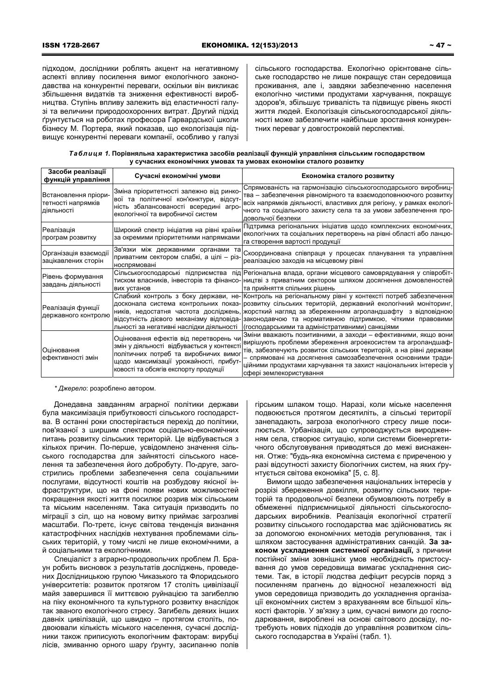підходом, дослідники роблять акцент на негативному аспекті впливу посилення вимог екологічного законодавства на конкурентні переваги, оскільки він викликає збільшення видатків та зниження ефективності виробництва. Ступінь впливу залежить від еластичності галузі та величини природоохоронних витрат. Другий підхід грунтується на роботах професора Гарвардської школи бізнесу М. Портера, який показав, що екологізація підвищує конкурентні переваги компанії, особливо у галузі сільського господарства. Екологічно орієнтоване сільське господарство не лише покращує стан середовища проживання, але і, завдяки забезпеченню населення екологічно чистими продуктами харчування, покращує здоров'я, збільшує тривалість та підвищує рівень якості життя людей. Екологізація сільськогосподарської діяльності може забезпечити найбільше зростання конкурентних переваг у довгостроковій перспективі.

 $Ta6\nu$ и 1. Порівняльна характеристика засобів реалізації функцій управління сільським господарством **у сучасних економічних умовах та умовах економіки сталого розвитку** 

| Засоби реалізації<br>функцій управління                  | Сучасні економічні умови                                                                                                                                                                                        | Економіка сталого розвитку                                                                                                                                                                                                                                                                                                                                                                                                                                                                                           |
|----------------------------------------------------------|-----------------------------------------------------------------------------------------------------------------------------------------------------------------------------------------------------------------|----------------------------------------------------------------------------------------------------------------------------------------------------------------------------------------------------------------------------------------------------------------------------------------------------------------------------------------------------------------------------------------------------------------------------------------------------------------------------------------------------------------------|
| Встановлення пріори-<br>тетності напрямків<br>діяльності | Зміна пріоритетності залежно від ринко-<br>вої та політичної кон'юнктури, відсут-<br>ність збалансованості всередині агро-<br>екологічної та виробничої систем                                                  | Спрямованість на гармонізацію сільськогосподарського виробниц-<br>тва - забезпечення рівномірного та взаємодоповнюючого розвитку<br>всіх напрямків діяльності, властивих для регіону, у рамках екологі-<br>чного та соціального захисту села та за умови забезпечення про-<br>довольчої безпеки                                                                                                                                                                                                                      |
| Реалізація<br>програм розвитку                           | Широкий спектр ініціатив на рівні країни<br>за окремими пріоритетними напрямками                                                                                                                                | Підтримка регіональних ініціатив щодо комплексних економічних,<br>екологічних та соціальних перетворень на рівні області або ланцю-<br>га створення вартості продукції                                                                                                                                                                                                                                                                                                                                               |
| Організація взаємодії<br>зацікавлених сторін             | Зв'язки між державними органами та<br>приватним сектором слабкі, а цілі - різ-<br>носпрямовані                                                                                                                  | Скоординована співпраця у процесах планування та управління<br>реалізацією заходів на місцевому рівні                                                                                                                                                                                                                                                                                                                                                                                                                |
| Рівень формування<br>завдань діяльності                  | вих установ                                                                                                                                                                                                     | Сільськогосподарські підприємства під Регіональна влада, органи місцевого самоврядування у співробіт-<br>тиском власників, інвесторів та фінансо- ництві з приватним сектором шляхом досягнення домовленостей<br>та прийняття спільних рішень                                                                                                                                                                                                                                                                        |
| Реалізація функції<br>державного контролю                |                                                                                                                                                                                                                 | Слабкий контроль з боку держави, не- Контроль на регіональному рівні у контексті потреб забезпечення<br>досконала система контрольних показ- розвитку сільських територій, державний екологічний моніторинг,<br>ників, недостатня частота досліджень, жорсткий нагляд за збереженням агроландшафту з відповідною<br>відсутність дієвого механізму відповіда- законодавчою та нормативною підтримкою, чіткими правовими<br>льності за негативні наслідки діяльності   (господарськими та адміністративними) санкціями |
| Оцінювання<br>ефективності змін                          | Оцінювання ефектів від перетворень чи<br>змін у діяльності відбувається у контексті<br>політичних потреб та виробничих вимог<br>щодо максимізації урожайності, прибут-<br>ковості та обсягів експорту продукції | Зміни вважають позитивними, а заходи – ефективними, якщо вони<br>вирішують проблеми збереження агроекосистем та агроландшаф-<br>тів, забезпечують розвиток сільських територій, а на рівні держави<br>- спрямовані на досягнення самозабезпечення основними тради-<br>ційними продуктами харчування та захист національних інтересів у<br>сфері землекористування                                                                                                                                                    |

 $*$  Джерело: розроблено автором.

Донедавна завданням аграрної політики держави була максимізація прибутковості сільського господарства. В останні роки спостерігається перехід до політики, пов'язаної з ширшим спектром соціально-економічних питань розвитку сільських територій. Це відбувається з кількох причин. По-перше, усвідомлено значення сільського господарства для зайнятості сільського населення та забезпечення його добробуту. По-друге, загострились проблеми забезпечення села соціальними послугами, відсутності коштів на розбудову якісної інфраструктури, що на фоні появи нових можливостей покращення якості життя посилює розрив між сільським та міським населенням. Така ситуація призводить по міграції з сіл, що на новому витку приймає загрозливі масштаби. По-третє, існує світова тенденція визнання катастрофічних наслідків нехтування проблемами сільських територій, у тому числі не лише економічними, а й соціальними та екологічними.

Спеціаліст з аграрно-продовольчих проблем Л. Браун робить висновок з результатів досліджень, проведених Дослідницькою групою Чиказького та Флоридського університетів: розвиток протягом 17 століть цивілізації майя завершився її миттєвою руйнацією та загибеллю на піку економічного та культурного розвитку внаслідок так званого екологічного стресу. Загибель деяких інших давніх цивілізацій, що швидко – протягом століть, подвоювали кількість міського населення, сучасні дослідники також приписують екологічним факторам: вирубці лісів, змиванню орного шару ґрунту, засипанню полів гірським шлаком тощо. Наразі, коли міське населення подвоюється протягом десятиліть, а сільські території занепадають, загроза екологічного стресу лише посилюється. Урбанізація, що супроводжується виродженням села, створює ситуацію, коли системи біоенергетичного обслуговування приводяться до межі виснаження. Отже: "будь-яка економічна система є приреченою у разі відсутності захисту біологічних систем, на яких ґрунтується світова економіка" [5, с. 8].

Вимоги щодо забезпечення національних інтересів у розрізі збереження довкілля, розвитку сільських територій та продовольчої безпеки обумовлюють потребу в обмеженні підприємницької діяльності сільськогосподарських виробників. Реалізація екологічної стратегії розвитку сільського господарства має здійснюватись як за допомогою економічних методів регулювання, так і шляхом застосування адміністративних санкцій. За за**коном ускладнення системної організації, з причини** постійної зміни зовнішніх умов необхідність пристосування до умов середовища вимагає ускладнення системи. Так, в історії людства дефіцит ресурсів поряд з посиленням прагнень до відносної незалежності від умов середовища призводить до ускладнення організації економічних систем з врахуванням все більшої кількості факторів. У зв'язку з цим, сучасні вимоги до господарювання, вироблені на основі світового досвіду, потребують нових підходів до управління розвитком сільського господарства в Україні (табл. 1).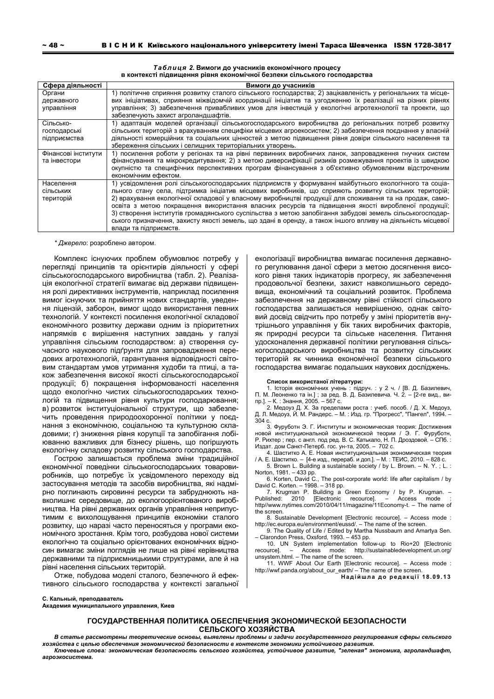| Сфера діяльності    | Вимоги до учасників                                                                                        |
|---------------------|------------------------------------------------------------------------------------------------------------|
| Органи              | 1) політичне сприяння розвитку сталого сільського господарства; 2) зацікавленість у регіональних та місце- |
| державного          | вих ініціативах, сприяння міжвідомчій координації ініціатив та узгодженню їх реалізації на різних рівнях   |
| управління          | управління; 3) забезпечення привабливих умов для інвестицій у екологічні агротехнології та проекти, що     |
|                     | забезпечують захист агроландшафтів.                                                                        |
| Сільсько-           | 1) адаптація моделей організації сільськогосподарського виробництва до регіональних потреб розвитку        |
| господарські        | сільських територій з врахуванням специфіки місцевих агроекосистем; 2) забезпечення поєднання у власній    |
| підприємства        | діяльності комерційних та соціальних цінностей з метою підвищення рівня довіри сільського населення та     |
|                     | збереження сільських і селищних територіальних утворень.                                                   |
| Фінансові інститути | 1) посилення роботи у регіонах та на рівні первинних виробничих ланок, запровадження гнучких систем        |
| та інвестори        | фінансування та мікрокредитування; 2) з метою диверсифікації ризиків розмежування проектів із швидкою      |
|                     | окупністю та специфічних перспективних програм фінансування з об'єктивно обумовленим відстроченим          |
|                     | економічним ефектом.                                                                                       |
| Населення           | 1) усвідомлення ролі сільськогосподарських підприємств у формуванні майбутнього екологічного та соціа-     |
| сільських           | льного стану села, підтримка ініціатив місцевих виробників, що сприяють розвитку сільських територій;      |
| територій           | 2) врахування екологічної складової у власному виробництві продукції для споживання та на продаж, само-    |
|                     | освіта з метою покращення використання власних ресурсів та підвищення якості виробленої продукції;         |
|                     | 3) створення інститутів громадянського суспільства з метою запобігання забудові земель сільськогосподар-   |
|                     | ського призначення, захисту якості земель, що здані в оренду, а також іншого впливу на діяльність місцевої |
|                     | влади та підприємств.                                                                                      |

| Таблиця 2. Вимоги до учасників економічного процесу                      |  |
|--------------------------------------------------------------------------|--|
| в контексті підвищення рівня економічної безпеки сільського господарства |  |

*\* Ⱦɠɟɪɟɥɨ*: ɪɨɡɪɨɛɥɟɧɨ ɚɜɬɨɪɨɦ.

Комплекс існуючих проблем обумовлює потребу у перегляді принципів та орієнтирів діяльності у сфері сільськогосподарського виробництва (табл. 2). Реалізація екологічної стратегії вимагає від держави підвищення ролі директивних інструментів, наприклад посилення вимог існуючих та прийняття нових стандартів, уведення ліцензій, заборон, вимог щодо використання певних технологій. У контексті посилення екологічної складової економічного розвитку держави одним із пріоритетних напрямків є вирішення наступних завдань у галузі управління сільським господарством: а) створення сучасного наукового підґрунтя для запровадження передових агротехнологій, гарантування відповідності світовим стандартам умов утримання худоби та птиці, а також забезпечення високої якості сільськогосподарської продукції; б) покращення інформованості населення щодо екологічно чистих сільськогосподарських технологій та підвищення рівня культури господарювання; в) розвиток інституціональної структури, що забезпе-ЧИТЬ ПРОВЕДЕННЯ ПРИРОДООХОРОННОЇ ПОЛІТИКИ У ПОЄДнання з економічною, соціальною та культурною складовими; г) зниження рівня корупції та запобігання лобіюванню важливих для бізнесу рішень, що погіршують екологічну складову розвитку сільського господарства.

Гострою залишається проблема зміни традиційної економічної поведінки сільськогосподарських товаровиробників, що потребує їх усвідомленого переходу від застосування методів та засобів виробництва, які надмірно поглинають сировинні ресурси та забруднюють навколишнє середовище, до екологоорієнтованого виробництва. На рівні державних органів управління неприпустимим є вихолощування принципів економіки сталого розвитку, що наразі часто переносяться у програми економічного зростання. Крім того, розбудова нової системи екологічно та соціально орієнтованих економічних відносин вимагає зміни поглядів не лише на рівні керівництва державними та підприємницькими структурами, але й на рівні населення сільських територій.

Отже, побудова моделі сталого, безпечного й ефективного сільського господарства у контексті загальної

екологізації виробництва вимагає посилення державного регулювання даної сфери з метою досягнення високого рівня таких індикаторів прогресу, як забезпечення продовольчої безпеки, захист навколишнього середовиша, економічний та соціальний розвиток. Проблема забезпечення на державному рівні стійкості сільського господарства залишається невирішеною, однак світовий досвід свідчить про потребу у зміні пріоритетів внутрішнього управління у бік таких виробничих факторів, як природні ресурси та сільське населення. Питання удосконалення державної політики регулювання сільськогосподарського виробництва та розвитку сільських територій як чинника економічної безпеки сільського господарства вимагає подальших наукових досліджень.

## Список використаної літератури:

1. Історія економічних учень : підруч. : у 2 ч. / [В. Д. Базилевич, П. М. Леоненко та ін.] ; за ред. В. Д. Базилевича. Ч. 2. – [2-ге вид., випр.]. – К.: 3нання, 2005. – 567 с.

2. Медоуз Д. Х. За пределами роста: учеб. пособ. / Д. Х. Медоуз, Д. Л. Медоуз, Й. М. Рандерс. – М. : Изд. гр. "Прогресс", "Пангел", 1994. - $304 \text{ c.}$ 

У.<br>3. Фуруботн Э. Г. Институты и экономическая теория: Достижения новой институциональной экономической теории / Э. Г. Фуруботн, тесть тисто доставления систематических тестрик и согта турусств,<br>Р. Рихтер ; пер. с англ. под ред. В. С. Катькало, Н. П. Дроздовой. – СПб. : Издат. дом Санкт-Петерб. гос. ун-та, 2005. - 702 с.

4. Шаститко А. Е. Новая институциональная экономическая теория / А. Е. Шаститко. – [4-е изд., перераб. и доп.]. – М. : ТЕИС, 2010. – 828 с. 5. Brown L. Building a sustainable society / by L. Brown. – N. Y. ; L. :

Norton, 1981. – 433 pp.<br>6. Korten, David C., The post-corporate world: life after capitalism / by

David C. Korten. – 1998. – 318 pp.<br>7. Krugman P. Building a Green Economy / by P. Krugman. –<br>1. Published: 2010 [Electronic recource]. – Access mode http//www.nytimes.com/2010/04/11/magazine/11Economy-t. – The name of the screen.

8. Sustainable Development [Electronic recource]. – Access mode : http://ec.europa.eu/environment/eussd/. – The name of the screen.

9. The Quality of Life / Edited by Martha Nussbaum and Amartya Sen. – Clarondon Press, Oxsford, 1993. – 453 ɪp. 10. UN System implementation follow-up to Rio+20 [Electronic

recource]. – Access mode: http://sustainabledevelopment.un.org/ unsystem.html. – The name of the screen.

11. WWF About Our Earth [Electronic recource]. – Access mode : http://wwf.panda.org/about\_our\_earth/ – The name of the screen.

Надійшла до редакції 18.09.13

 $C$ . Кальный, преподаватель **Ⱥɤɚɞɟɦɢɹ ɦɭɧɢɰɢɩɚɥɶɧɨɝɨ ɭɩɪɚɜɥɟɧɢɹ, Ʉɢɟɜ**

> ГОСУДАРСТВЕННАЯ ПОЛИТИКА ОБЕСПЕЧЕНИЯ ЭКОНОМИЧЕСКОЙ БЕЗОПАСНОСТИ СЕЛЬСКОГО ХОЗЯЙСТВА

В статье рассмотрены теоретические основы, выявлены проблемы и задачи государственного регулирования сферы сельского хозяйства с целью обеспечения экономической безопасности в контексте экономики устойчивого развития.

Ключевые слова: экономическая безопасность сельского хозяйства, устойчивое развитие, "зеленая" экономика, агроландшафт  $a$ гроэкосистема.